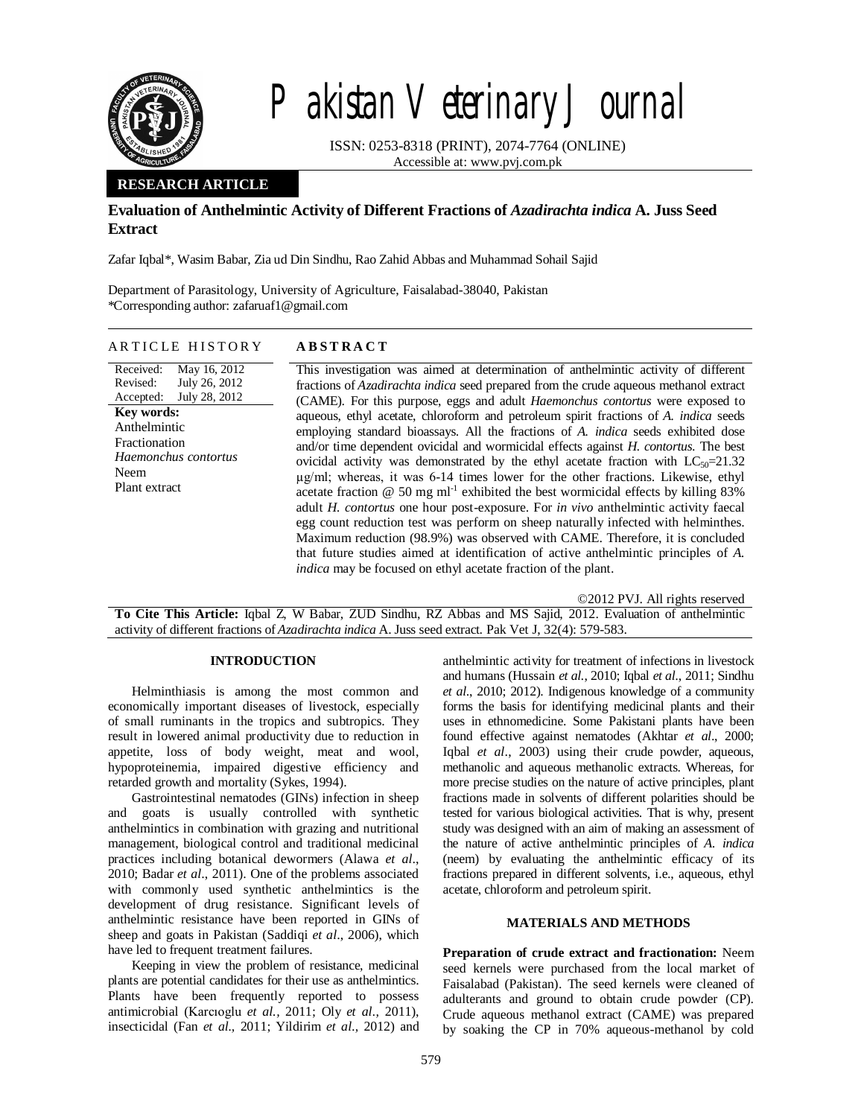

# Pakistan Veterinary Journal

ISSN: 0253-8318 (PRINT), 2074-7764 (ONLINE) Accessible at: www.pvj.com.pk

## **RESEARCH ARTICLE**

# **Evaluation of Anthelmintic Activity of Different Fractions of** *Azadirachta indica* **A. Juss Seed Extract**

Zafar Iqbal\*, Wasim Babar, Zia ud Din Sindhu, Rao Zahid Abbas and Muhammad Sohail Sajid

Department of Parasitology, University of Agriculture, Faisalabad-38040, Pakistan \*Corresponding author: zafaruaf1@gmail.com

#### ARTICLE HISTORY ABSTRACT

Received: Revised: Accepted: May 16, 2012 July 26, 2012 July 28, 2012 **Key words:**  Anthelmintic Fractionation *Haemonchus contortus* Neem Plant extract

This investigation was aimed at determination of anthelmintic activity of different fractions of *Azadirachta indica* seed prepared from the crude aqueous methanol extract (CAME). For this purpose, eggs and adult *Haemonchus contortus* were exposed to aqueous, ethyl acetate, chloroform and petroleum spirit fractions of *A. indica* seeds employing standard bioassays. All the fractions of *A. indica* seeds exhibited dose and/or time dependent ovicidal and wormicidal effects against *H. contortus*. The best ovicidal activity was demonstrated by the ethyl acetate fraction with  $LC_{50}=21.32$ µg/ml; whereas, it was 6-14 times lower for the other fractions. Likewise, ethyl acetate fraction  $@$  50 mg ml<sup>-1</sup> exhibited the best wormicidal effects by killing 83% adult *H. contortus* one hour post-exposure. For *in vivo* anthelmintic activity faecal egg count reduction test was perform on sheep naturally infected with helminthes. Maximum reduction (98.9%) was observed with CAME. Therefore, it is concluded that future studies aimed at identification of active anthelmintic principles of *A. indica* may be focused on ethyl acetate fraction of the plant.

©2012 PVJ. All rights reserved

**To Cite This Article:** Iqbal Z, W Babar, ZUD Sindhu, RZ Abbas and MS Sajid, 2012. Evaluation of anthelmintic activity of different fractions of *Azadirachta indica* A. Juss seed extract. Pak Vet J, 32(4): 579-583.

## **INTRODUCTION**

Helminthiasis is among the most common and economically important diseases of livestock, especially of small ruminants in the tropics and subtropics. They result in lowered animal productivity due to reduction in appetite, loss of body weight, meat and wool, hypoproteinemia, impaired digestive efficiency and retarded growth and mortality (Sykes, 1994).

Gastrointestinal nematodes (GINs) infection in sheep and goats is usually controlled with synthetic anthelmintics in combination with grazing and nutritional management, biological control and traditional medicinal practices including botanical dewormers (Alawa *et al*., 2010; Badar *et al*., 2011). One of the problems associated with commonly used synthetic anthelmintics is the development of drug resistance. Significant levels of anthelmintic resistance have been reported in GINs of sheep and goats in Pakistan (Saddiqi *et al*., 2006), which have led to frequent treatment failures.

Keeping in view the problem of resistance, medicinal plants are potential candidates for their use as anthelmintics. Plants have been frequently reported to possess antimicrobial (Karcıoglu *et al.,* 2011; Oly *et al.,* 2011), insecticidal (Fan *et al.,* 2011; Yildirim *et al.,* 2012) and

anthelmintic activity for treatment of infections in livestock and humans (Hussain *et al.*, 2010; Iqbal *et al.*, 2011; Sindhu *et al*., 2010; 2012). Indigenous knowledge of a community forms the basis for identifying medicinal plants and their uses in ethnomedicine. Some Pakistani plants have been found effective against nematodes (Akhtar *et al*., 2000; Iqbal *et al*., 2003) using their crude powder, aqueous, methanolic and aqueous methanolic extracts. Whereas, for more precise studies on the nature of active principles, plant fractions made in solvents of different polarities should be tested for various biological activities. That is why, present study was designed with an aim of making an assessment of the nature of active anthelmintic principles of *A. indica* (neem) by evaluating the anthelmintic efficacy of its fractions prepared in different solvents, i.e., aqueous, ethyl acetate, chloroform and petroleum spirit.

## **MATERIALS AND METHODS**

**Preparation of crude extract and fractionation:** Neem seed kernels were purchased from the local market of Faisalabad (Pakistan). The seed kernels were cleaned of adulterants and ground to obtain crude powder (CP). Crude aqueous methanol extract (CAME) was prepared by soaking the CP in 70% aqueous-methanol by cold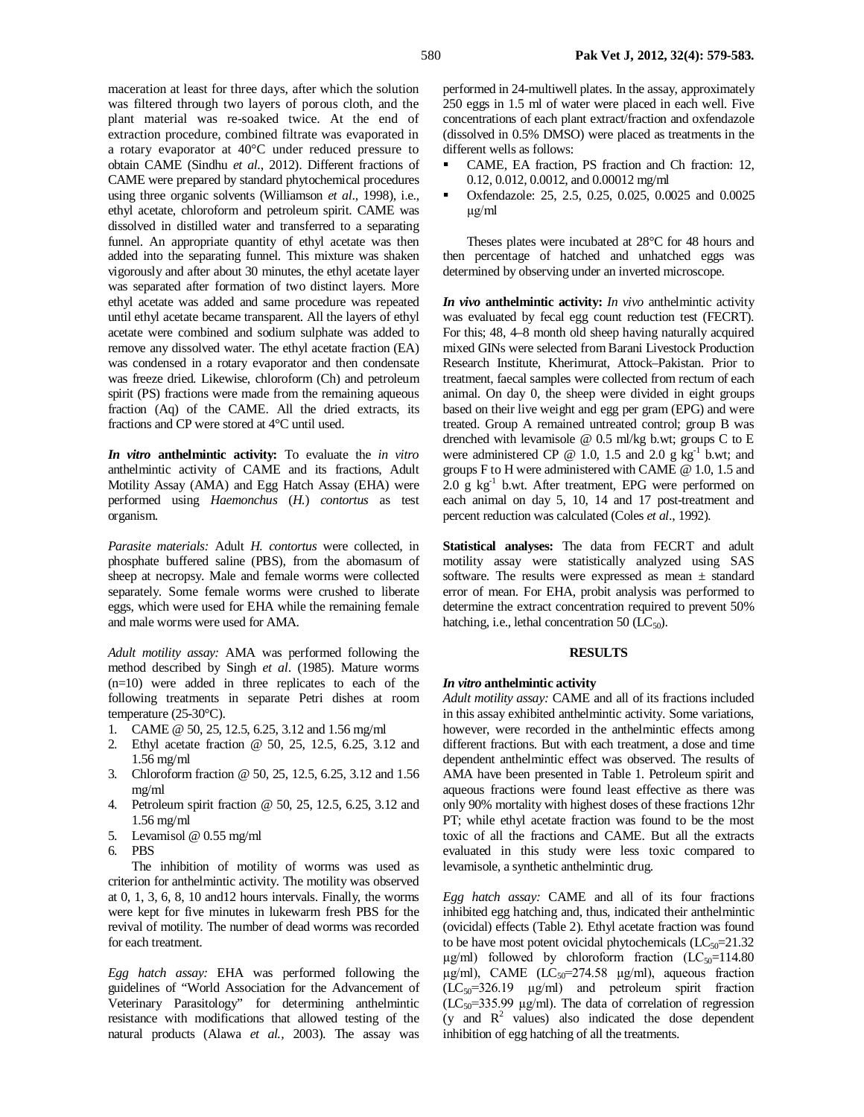maceration at least for three days, after which the solution was filtered through two layers of porous cloth, and the plant material was re-soaked twice. At the end of extraction procedure, combined filtrate was evaporated in a rotary evaporator at 40°C under reduced pressure to obtain CAME (Sindhu *et al*., 2012). Different fractions of CAME were prepared by standard phytochemical procedures using three organic solvents (Williamson *et al*., 1998), i.e., ethyl acetate, chloroform and petroleum spirit. CAME was dissolved in distilled water and transferred to a separating funnel. An appropriate quantity of ethyl acetate was then added into the separating funnel. This mixture was shaken vigorously and after about 30 minutes, the ethyl acetate layer was separated after formation of two distinct layers. More ethyl acetate was added and same procedure was repeated until ethyl acetate became transparent. All the layers of ethyl acetate were combined and sodium sulphate was added to remove any dissolved water. The ethyl acetate fraction (EA) was condensed in a rotary evaporator and then condensate was freeze dried. Likewise, chloroform (Ch) and petroleum spirit (PS) fractions were made from the remaining aqueous fraction (Aq) of the CAME. All the dried extracts, its fractions and CP were stored at 4°C until used.

*In vitro* **anthelmintic activity:** To evaluate the *in vitro* anthelmintic activity of CAME and its fractions, Adult Motility Assay (AMA) and Egg Hatch Assay (EHA) were performed using *Haemonchus* (*H.*) *contortus* as test organism.

*Parasite materials:* Adult *H. contortus* were collected, in phosphate buffered saline (PBS), from the abomasum of sheep at necropsy. Male and female worms were collected separately. Some female worms were crushed to liberate eggs, which were used for EHA while the remaining female and male worms were used for AMA.

*Adult motility assay:* AMA was performed following the method described by Singh *et al*. (1985). Mature worms (n=10) were added in three replicates to each of the following treatments in separate Petri dishes at room temperature (25-30°C).

- 1. CAME @ 50, 25, 12.5, 6.25, 3.12 and 1.56 mg/ml
- 2. Ethyl acetate fraction @ 50, 25, 12.5, 6.25, 3.12 and 1.56 mg/ml
- 3. Chloroform fraction @ 50, 25, 12.5, 6.25, 3.12 and 1.56 mg/ml
- 4. Petroleum spirit fraction @ 50, 25, 12.5, 6.25, 3.12 and 1.56 mg/ml
- 5. Levamisol @ 0.55 mg/ml
- 6. PBS

The inhibition of motility of worms was used as criterion for anthelmintic activity. The motility was observed at 0, 1, 3, 6, 8, 10 and12 hours intervals. Finally, the worms were kept for five minutes in lukewarm fresh PBS for the revival of motility. The number of dead worms was recorded for each treatment.

*Egg hatch assay:* EHA was performed following the guidelines of "World Association for the Advancement of Veterinary Parasitology" for determining anthelmintic resistance with modifications that allowed testing of the natural products (Alawa *et al.,* 2003). The assay was

performed in 24-multiwell plates. In the assay, approximately 250 eggs in 1.5 ml of water were placed in each well. Five concentrations of each plant extract/fraction and oxfendazole (dissolved in 0.5% DMSO) were placed as treatments in the different wells as follows:

- CAME, EA fraction, PS fraction and Ch fraction: 12, 0.12, 0.012, 0.0012, and 0.00012 mg/ml
- Oxfendazole: 25, 2.5, 0.25, 0.025, 0.0025 and 0.0025 µg/ml

Theses plates were incubated at 28°C for 48 hours and then percentage of hatched and unhatched eggs was determined by observing under an inverted microscope.

*In vivo* **anthelmintic activity:** *In vivo* anthelmintic activity was evaluated by fecal egg count reduction test (FECRT). For this; 48, 4–8 month old sheep having naturally acquired mixed GINs were selected from Barani Livestock Production Research Institute, Kherimurat, Attock–Pakistan. Prior to treatment, faecal samples were collected from rectum of each animal. On day 0, the sheep were divided in eight groups based on their live weight and egg per gram (EPG) and were treated. Group A remained untreated control; group B was drenched with levamisole @ 0.5 ml/kg b.wt; groups C to E were administered CP  $@ 1.0$ , 1.5 and 2.0 g  $kg<sup>-1</sup>$  b.wt; and groups F to H were administered with CAME @ 1.0, 1.5 and  $2.0 \text{ g kg}^{-1}$  b.wt. After treatment, EPG were performed on each animal on day 5, 10, 14 and 17 post-treatment and percent reduction was calculated (Coles *et al*., 1992).

**Statistical analyses:** The data from FECRT and adult motility assay were statistically analyzed using SAS software. The results were expressed as mean  $\pm$  standard error of mean. For EHA, probit analysis was performed to determine the extract concentration required to prevent 50% hatching, i.e., lethal concentration 50  $(LC_{50})$ .

## **RESULTS**

# *In vitro* **anthelmintic activity**

*Adult motility assay:* CAME and all of its fractions included in this assay exhibited anthelmintic activity. Some variations, however, were recorded in the anthelmintic effects among different fractions. But with each treatment, a dose and time dependent anthelmintic effect was observed. The results of AMA have been presented in Table 1. Petroleum spirit and aqueous fractions were found least effective as there was only 90% mortality with highest doses of these fractions 12hr PT; while ethyl acetate fraction was found to be the most toxic of all the fractions and CAME. But all the extracts evaluated in this study were less toxic compared to levamisole, a synthetic anthelmintic drug.

*Egg hatch assay:* CAME and all of its four fractions inhibited egg hatching and, thus, indicated their anthelmintic (ovicidal) effects (Table 2). Ethyl acetate fraction was found to be have most potent ovicidal phytochemicals  $(LC_{50}=21.32)$  $\mu$ g/ml) followed by chloroform fraction (LC<sub>50</sub>=114.80)  $\mu$ g/ml), CAME (LC<sub>50</sub>=274.58  $\mu$ g/ml), aqueous fraction  $(LC_{50} = 326.19$   $\mu$ g/ml) and petroleum spirit fraction  $(LC_{50} = 335.99 \text{ µg/ml})$ . The data of correlation of regression (y and  $R^2$  values) also indicated the dose dependent inhibition of egg hatching of all the treatments.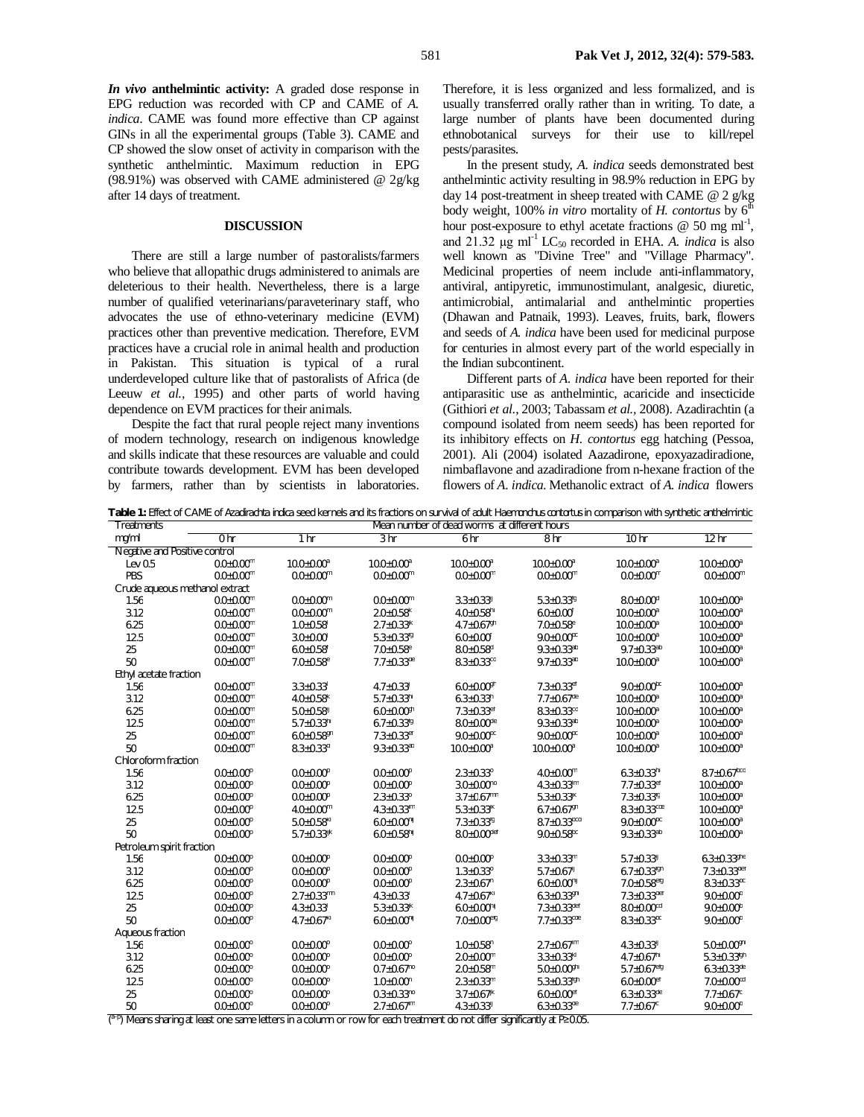*In vivo* **anthelmintic activity:** A graded dose response in EPG reduction was recorded with CP and CAME of *A. indica*. CAME was found more effective than CP against GINs in all the experimental groups (Table 3). CAME and CP showed the slow onset of activity in comparison with the synthetic anthelmintic. Maximum reduction in EPG (98.91%) was observed with CAME administered @ 2g/kg after 14 days of treatment.

#### **DISCUSSION**

There are still a large number of pastoralists/farmers who believe that allopathic drugs administered to animals are deleterious to their health. Nevertheless, there is a large number of qualified veterinarians/paraveterinary staff, who advocates the use of ethno-veterinary medicine (EVM) practices other than preventive medication. Therefore, EVM practices have a crucial role in animal health and production in Pakistan. This situation is typical of a rural underdeveloped culture like that of pastoralists of Africa (de Leeuw *et al.,* 1995) and other parts of world having dependence on EVM practices for their animals.

Despite the fact that rural people reject many inventions of modern technology, research on indigenous knowledge and skills indicate that these resources are valuable and could contribute towards development. EVM has been developed by farmers, rather than by scientists in laboratories.

Therefore, it is less organized and less formalized, and is usually transferred orally rather than in writing. To date, a large number of plants have been documented during ethnobotanical surveys for their use to kill/repel pests/parasites.

In the present study, *A. indica* seeds demonstrated best anthelmintic activity resulting in 98.9% reduction in EPG by day 14 post-treatment in sheep treated with CAME @ 2 g/kg body weight, 100% in vitro mortality of *H. contortus* by  $6^{\overline{h}}$ hour post-exposure to ethyl acetate fractions  $\omega$  50 mg ml<sup>-1</sup>, and  $21.32 \mu$ g ml<sup>-1</sup> LC<sub>50</sub> recorded in EHA. *A. indica* is also well known as "Divine Tree" and "Village Pharmacy". Medicinal properties of neem include anti-inflammatory, antiviral, antipyretic, immunostimulant, analgesic, diuretic, antimicrobial, antimalarial and anthelmintic properties (Dhawan and Patnaik, 1993). Leaves, fruits, bark, flowers and seeds of *A. indica* have been used for medicinal purpose for centuries in almost every part of the world especially in the Indian subcontinent.

Different parts of *A. indica* have been reported for their antiparasitic use as anthelmintic, acaricide and insecticide (Githiori *et al*., 2003; Tabassam *et al.,* 2008). Azadirachtin (a compound isolated from neem seeds) has been reported for its inhibitory effects on *H. contortus* egg hatching (Pessoa, 2001). Ali (2004) isolated Aazadirone, epoxyazadiradione, nimbaflavone and azadiradione from n-hexane fraction of the flowers of *A. indica*. Methanolic extract of *A. indica* flowers

**Table 1:** Effect of CAME of *Azadirachta indica* seed kernels and its fractions on survival of adult *Haemonchus contortus* in comparison with synthetic anthelmintic Mean number of dead worms at different hours

| mg/ml<br>0 <sub>hr</sub><br>1 hr<br>3 hr<br>6 hr<br>8 hr<br>10 <sub>hr</sub><br>12 <sub>hr</sub><br>Negative and Positive control<br>$0.0 \pm 0.00^m$<br>$10.0 \pm 0.00^a$<br>$10.0 \pm 0.00^a$<br>$10.0 \pm 0.00^a$<br>$10.0 \pm 0.00^a$<br>$10.0 \pm 0.00^a$<br>Lev $0.5$<br>$10.0 \pm 0.00^a$<br>$0.0 \pm 0.00^m$<br>$0.0 \pm 0.00^m$<br>$0.0 \pm 0.00^m$<br>$0.0 + 0.00^m$<br>$0.0 \pm 0.00^m$<br>PBS<br>$0.0 \pm 0.00^m$<br>$0.0 \pm 0.00^m$<br>Crude aqueous methanol extract<br>1.56<br>$0.0 \pm 0.00^m$<br>$0.0 \pm 0.00^m$<br>$0.0 \pm 0.00^m$<br>$3.3 \pm 0.33$ <sup>U</sup><br>$5.3 \pm 0.33$ <sup>tg</sup><br>$8.0 \pm 0.00$ <sup>d</sup><br>$10.0 \pm 0.00^a$<br>3.12<br>$0.0 \pm 0.00^m$<br>$0.0 \pm 0.00^m$<br>$2.0 \pm 0.58$ <sup>k</sup><br>$4.0 \pm 0.58$ <sup>hi</sup><br>$10.0 \pm 0.00^a$<br>$6.0 \pm 0.00$ <sup>t</sup><br>$10.0 \pm 0.00^a$<br>6.25<br>$0.0 \pm 0.00^m$<br>$2.7 \pm 0.33$ <sup>K</sup><br>$4.7 \pm 0.67$ <sup>gh</sup><br>$7.0 \pm 0.58$ <sup>e</sup><br>$10.0 \pm 0.00^a$<br>$10.0 \pm 0.00^a$<br>$1.0 \pm 0.58$ <sup>1</sup><br>12.5<br>$0.0 \pm 0.00^m$<br>$3.0 + 0.00$<br>$5.3 \pm 0.33^{10}$<br>$9.0 \pm 0.00^{bc}$<br>$10.0 \pm 0.00^a$<br>$10.0 \pm 0.00^a$<br>$6.0 \pm 0.00$ <sup>t</sup><br>25<br>$8.0 \pm 0.58$ <sup>d</sup><br>$9.3 \pm 0.33^{ab}$<br>$9.7 \pm 0.33^{ab}$<br>$0.0 \pm 0.00^m$<br>$6.0 \pm 0.58$ <sup>f</sup><br>$7.0 \pm 0.58$ <sup>e</sup><br>$10.0 \pm 0.00^a$<br>50<br>$0.0 + 0.00$ <sup>m</sup><br>$7.0 \pm 0.58$ <sup>e</sup><br>$7.7 \pm 0.33$ <sup>de</sup><br>$8.3 \pm 0.33$ <sup>cd</sup><br>$9.7 \pm 0.33^{ab}$<br>$10.0 \pm 0.00$ <sup>a</sup><br>$10.0 \pm 0.00^a$<br>Ethyl acetate fraction<br>$0.0 + 0.00m$<br>$3.3 \pm 0.33$ <sup>1</sup><br>$4.7 \pm 0.33$<br>$6.0 \pm 0.00$ <sup>gh</sup><br>$7.3 \pm 0.33$ <sup>ef</sup><br>$9.0 + 0.00$ <sup>bc</sup><br>1.56<br>$10.0 \pm 0.00^a$<br>3.12<br>$0.0 \pm 0.00^m$<br>$4.0 \pm 0.58$ <sup>k</sup><br>$5.7 \pm 0.33^{h}$<br>$6.3 \pm 0.33$ <sup>h</sup><br>$7.7 \pm 0.67$ <sup>de</sup><br>$10.0 \pm 0.00^a$<br>$10.0 \pm 0.00^a$<br>6.25<br>$8.3 \pm 0.33$ <sup>cd</sup><br>$10.0 \pm 0.00^a$<br>$0.0 + 0.00$ <sup>m</sup><br>$5.0 \pm 0.58$ <sup>ij</sup><br>$6.0 \pm 0.00$ <sup>gh</sup><br>$7.3 \pm 0.33$ <sup>ef</sup><br>$10.0 \pm 0.00^a$<br>12.5<br>$5.7 \pm 0.33$ <sup>hi</sup><br>$8.0 \pm 0.00$ <sup>de</sup><br>$9.3 \pm 0.33^{ab}$<br>$10.0 \pm 0.00^a$<br>$0.0 + 0.00$ <sup>m</sup><br>$6.7 \pm 0.33$ <sup>fg</sup><br>$10.0 \pm 0.00$ <sup>a</sup><br>25<br>$9.0 \pm 0.00^{bc}$<br>$9.0 \pm 0.00^{bc}$<br>$0.0 \pm 0.00^m$<br>$6.0 \pm 0.58$ <sup>gh</sup><br>$7.3 \pm 0.33$ <sup>er</sup><br>$10.0 \pm 0.00^a$<br>$10.0 \pm 0.00^a$<br>50<br>$9.3 \pm 0.33^{ab}$<br>$0.0 + 0.00$ <sup>m</sup><br>$8.3 \pm 0.33$ <sup>d</sup><br>$10.0 \pm 0.00^a$<br>$10.0 \pm 0.00^a$<br>$10.0 \pm 0.00^a$<br>$10.0 \pm 0.00^a$<br>Chloroform fraction<br>$8.7 \pm 0.67^{bcd}$<br>1.56<br>$0.0 + 0.00^p$<br>$0.0 \pm 0.00^p$<br>$0.0{\pm}0.00^p$<br>$2.3 \pm 0.33^{\circ}$<br>$4.0 \pm 0.00^m$<br>$6.3 \pm 0.33^{h}$<br>3.12<br>$3.0 \pm 0.00^{no}$<br>$0.0 + 0.00^p$<br>$0.0 \pm 0.00^p$<br>$0.0 \pm 0.00^p$<br>$4.3 \pm 0.33$ <sup>Im</sup><br>$7.7 \pm 0.33$ <sup>er</sup><br>$10.0 \pm 0.00^a$<br>6.25<br>$2.3 + 0.33^{\circ}$<br>$3.7 \pm 0.67$ <sup>mn</sup><br>$5.3 \pm 0.33$ <sup>K</sup><br>$10.0 \pm 0.00^a$<br>$0.0 + 0.00^p$<br>$0.0 + 0.00^p$<br>$7.3 \pm 0.33$ <sup>tg</sup><br>$4.3 \pm 0.33^{\text{lm}}$<br>$5.3 \pm 0.33^{\text{K}}$<br>$8.3 \pm 0.33$ <sup>cde</sup><br>$10.0 \pm 0.00^a$<br>12.5<br>$0.0 \pm 0.00^p$<br>$4.0 \pm 0.00^{\rm m}$<br>$6.7 \pm 0.67$ <sup>gh</sup><br>25<br>$5.0 \pm 0.58^{k}$<br>$8.7 \pm 0.33$ <sup>bcd</sup><br>$9.0 \pm 0.00^{bc}$<br>$0.0 \pm 0.00^p$<br>$6.0 \pm 0.00^{hij}$<br>$7.3 \pm 0.33$ <sup>tg</sup><br>$10.0 \pm 0.00^a$<br>50<br>$8.0 \pm 0.00$ def<br>$9.0 \pm 0.58$ <sup>pc</sup><br>$9.3 \pm 0.33^{ab}$<br>$0.0 + 0.00^p$<br>$5.7 \pm 0.33$ <sup>W</sup><br>$6.0 \pm 0.58^{\text{h}}$<br>$10.0 \pm 0.00^a$<br>Petroleum spirit fraction<br>1.56<br>$0.0 + 0.00^p$<br>$0.0 + 0.00^p$<br>$0.0 + 0.00^p$<br>$0.0 + 0.00^p$<br>$3.3 \pm 0.33$ <sup>m</sup><br>$5.7 \pm 0.33$<br>$6.3 \pm 0.33$ <sup>ghe</sup><br>3.12<br>$0.0 + 0.00^p$<br>$0.0 + 0.00^p$<br>$0.0 + 0.00^p$<br>$1.3 \pm 0.33^{\circ}$<br>$5.7 \pm 0.67$ <sup>U</sup><br>$6.7 \pm 0.33$ <sup>tgh</sup><br>$7.3 \pm 0.33^{\text{det}}$<br>6.25<br>$0.0 + 0.00^p$<br>$0.0 + 0.00^p$<br>$0.0 + 0.00^p$<br>$2.3 \pm 0.67$ <sup>n</sup><br>$6.0 \pm 0.00^{h}$<br>$7.0 \pm 0.58$ <sup>etg</sup><br>$8.3 \pm 0.33$ <sup>bc</sup><br>12.5<br>$9.0 \pm 0.00^b$<br>$0.0 \pm 0.00^p$<br>$2.7 \pm 0.33$ <sup>mn</sup><br>$4.3 \pm 0.33$ <sup>1</sup><br>$4.7 \pm 0.67$ <sup>kl</sup><br>$6.3 \pm 0.33$ <sup>ghi</sup><br>$7.3 \pm 0.33$ <sup>def</sup><br>$7.3 \pm 0.33^{\text{det}}$<br>25<br>$4.3 \pm 0.33$ <sup>1</sup><br>$6.0 \pm 0.00^{hij}$<br>$8.0 \pm 0.00$ <sup>cd</sup><br>$9.0 \pm 0.00^{\circ}$<br>$0.0 \pm 0.00^p$<br>$5.3 \pm 0.33$ <sup>K</sup><br>50<br>$0.0 + 0.00^p$<br>$4.7 \pm 0.67^{k}$<br>$6.0 \pm 0.00^{hij}$<br>$7.0 \pm 0.00$ <sup>efg</sup><br>$7.7 \pm 0.33$ <sup>cde</sup><br>$8.3 \pm 0.33$ <sup>bc</sup><br>$9.0 \pm 0.00^b$<br>Aqueous fraction<br>$2.7 \pm 0.67$ <sup>Im</sup><br>$5.0 \pm 0.00$ <sup>ghi</sup><br>1.56<br>$0.0 + 0.00^{\circ}$<br>$0.0 + 0.00^{\circ}$<br>$0.0 + 0.00^{\circ}$<br>$1.0 + 0.58$ <sup>n</sup><br>$4.3 \pm 0.33$ <sup>U</sup><br>3.12<br>$2.0 \pm 0.00^m$<br>$3.3 \pm 0.33^{k}$<br>$4.7 \pm 0.67$ <sup>hi</sup><br>$5.3 \pm 0.33^{fgh}$<br>$0.0 + 0.00^{\circ}$<br>$0.0 + 0.00^{\circ}$<br>$0.0 + 0.00^{\circ}$<br>6.25<br>$0.7 \pm 0.67^{n0}$<br>$2.0 \pm 0.58$ <sup>m</sup><br>$5.0 \pm 0.00$ <sup>ghi</sup><br>$5.7 \pm 0.67$ <sup>etg</sup><br>$6.3 \pm 0.33$ <sup>de</sup><br>$0.0 \pm 0.00^{\circ}$<br>$0.0 \pm 0.00^{\circ}$<br>12.5<br>$7.0\pm0.00$ <sup>cd</sup><br>$0.0{\pm}0.00^{\circ}$<br>$0.0 \pm 0.00^{\circ}$<br>$1.0 \pm 0.00$ <sup>n</sup><br>$2.3 \pm 0.33$ <sup>m</sup><br>$5.3 \pm 0.33^{tgh}$<br>$6.0 \pm 0.00$ <sup>et</sup><br>25<br>$0.3 \pm 0.33^{n0}$<br>$3.7 \pm 0.67$ <sup>K</sup><br>$6.0 \pm 0.00$ <sup>ef</sup><br>$6.3 \pm 0.33$ <sup>de</sup><br>$7.7 \pm 0.67$ °<br>$0.0 \pm 0.00^{\circ}$<br>$0.0 \pm 0.00^{\circ}$<br>50<br>$0.0\pm0.00^\circ$<br>$2.7\pm0.67^{\text{lm}}$<br>$4.3 \pm 0.33$ <sup>U</sup><br>$6.3 \pm 0.33$ <sup>de</sup><br>$7.7 \pm 0.67$ <sup>c</sup><br>$9.0 \pm 0.00^{\circ}$<br>$0.0 + 0.00^{\circ}$ | Treatments | Mean number of dead worms at different hours |  |  |  |  |  |  |  |
|----------------------------------------------------------------------------------------------------------------------------------------------------------------------------------------------------------------------------------------------------------------------------------------------------------------------------------------------------------------------------------------------------------------------------------------------------------------------------------------------------------------------------------------------------------------------------------------------------------------------------------------------------------------------------------------------------------------------------------------------------------------------------------------------------------------------------------------------------------------------------------------------------------------------------------------------------------------------------------------------------------------------------------------------------------------------------------------------------------------------------------------------------------------------------------------------------------------------------------------------------------------------------------------------------------------------------------------------------------------------------------------------------------------------------------------------------------------------------------------------------------------------------------------------------------------------------------------------------------------------------------------------------------------------------------------------------------------------------------------------------------------------------------------------------------------------------------------------------------------------------------------------------------------------------------------------------------------------------------------------------------------------------------------------------------------------------------------------------------------------------------------------------------------------------------------------------------------------------------------------------------------------------------------------------------------------------------------------------------------------------------------------------------------------------------------------------------------------------------------------------------------------------------------------------------------------------------------------------------------------------------------------------------------------------------------------------------------------------------------------------------------------------------------------------------------------------------------------------------------------------------------------------------------------------------------------------------------------------------------------------------------------------------------------------------------------------------------------------------------------------------------------------------------------------------------------------------------------------------------------------------------------------------------------------------------------------------------------------------------------------------------------------------------------------------------------------------------------------------------------------------------------------------------------------------------------------------------------------------------------------------------------------------------------------------------------------------------------------------------------------------------------------------------------------------------------------------------------------------------------------------------------------------------------------------------------------------------------------------------------------------------------------------------------------------------------------------------------------------------------------------------------------------------------------------------------------------------------------------------------------------------------------------------------------------------------------------------------------------------------------------------------------------------------------------------------------------------------------------------------------------------------------------------------------------------------------------------------------------------------------------------------------------------------------------------------------------------------------------------------------------------------------------------------------------------------------------------------------------------------------------------------------------------------------------------------------------------------------------------------------------------------------------------------------------------------------------------------------------------------------------------------------------------------------------------------------------------------------------------------------------------------------------------------------------------------------------------------------------------------------------------------------------------------------------------------------------------------------------------------------------------------------------------------------------------------------------------------------------------------------------------------------------------------------------------------------------------------------------------------------------------------------------------------------------------------------------------------------------------------------------------------------------------------------------------------------------------------------------------------------------------------------------------------------------------------------------------------------------------------------------------------------------------------------------------------------------------------------------------------------------------------------------------------------------------------------------------------------------------------------------------------------------------------------------------------------------------------------------|------------|----------------------------------------------|--|--|--|--|--|--|--|
|                                                                                                                                                                                                                                                                                                                                                                                                                                                                                                                                                                                                                                                                                                                                                                                                                                                                                                                                                                                                                                                                                                                                                                                                                                                                                                                                                                                                                                                                                                                                                                                                                                                                                                                                                                                                                                                                                                                                                                                                                                                                                                                                                                                                                                                                                                                                                                                                                                                                                                                                                                                                                                                                                                                                                                                                                                                                                                                                                                                                                                                                                                                                                                                                                                                                                                                                                                                                                                                                                                                                                                                                                                                                                                                                                                                                                                                                                                                                                                                                                                                                                                                                                                                                                                                                                                                                                                                                                                                                                                                                                                                                                                                                                                                                                                                                                                                                                                                                                                                                                                                                                                                                                                                                                                                                                                                                                                                                                                                                                                                                                                                                                                                                                                                                                                                                                                                                                                                                                                                                                                                                                                                                                                                                                                                                                                                                                                                                                                                                                  |            |                                              |  |  |  |  |  |  |  |
|                                                                                                                                                                                                                                                                                                                                                                                                                                                                                                                                                                                                                                                                                                                                                                                                                                                                                                                                                                                                                                                                                                                                                                                                                                                                                                                                                                                                                                                                                                                                                                                                                                                                                                                                                                                                                                                                                                                                                                                                                                                                                                                                                                                                                                                                                                                                                                                                                                                                                                                                                                                                                                                                                                                                                                                                                                                                                                                                                                                                                                                                                                                                                                                                                                                                                                                                                                                                                                                                                                                                                                                                                                                                                                                                                                                                                                                                                                                                                                                                                                                                                                                                                                                                                                                                                                                                                                                                                                                                                                                                                                                                                                                                                                                                                                                                                                                                                                                                                                                                                                                                                                                                                                                                                                                                                                                                                                                                                                                                                                                                                                                                                                                                                                                                                                                                                                                                                                                                                                                                                                                                                                                                                                                                                                                                                                                                                                                                                                                                                  |            |                                              |  |  |  |  |  |  |  |
|                                                                                                                                                                                                                                                                                                                                                                                                                                                                                                                                                                                                                                                                                                                                                                                                                                                                                                                                                                                                                                                                                                                                                                                                                                                                                                                                                                                                                                                                                                                                                                                                                                                                                                                                                                                                                                                                                                                                                                                                                                                                                                                                                                                                                                                                                                                                                                                                                                                                                                                                                                                                                                                                                                                                                                                                                                                                                                                                                                                                                                                                                                                                                                                                                                                                                                                                                                                                                                                                                                                                                                                                                                                                                                                                                                                                                                                                                                                                                                                                                                                                                                                                                                                                                                                                                                                                                                                                                                                                                                                                                                                                                                                                                                                                                                                                                                                                                                                                                                                                                                                                                                                                                                                                                                                                                                                                                                                                                                                                                                                                                                                                                                                                                                                                                                                                                                                                                                                                                                                                                                                                                                                                                                                                                                                                                                                                                                                                                                                                                  |            |                                              |  |  |  |  |  |  |  |
|                                                                                                                                                                                                                                                                                                                                                                                                                                                                                                                                                                                                                                                                                                                                                                                                                                                                                                                                                                                                                                                                                                                                                                                                                                                                                                                                                                                                                                                                                                                                                                                                                                                                                                                                                                                                                                                                                                                                                                                                                                                                                                                                                                                                                                                                                                                                                                                                                                                                                                                                                                                                                                                                                                                                                                                                                                                                                                                                                                                                                                                                                                                                                                                                                                                                                                                                                                                                                                                                                                                                                                                                                                                                                                                                                                                                                                                                                                                                                                                                                                                                                                                                                                                                                                                                                                                                                                                                                                                                                                                                                                                                                                                                                                                                                                                                                                                                                                                                                                                                                                                                                                                                                                                                                                                                                                                                                                                                                                                                                                                                                                                                                                                                                                                                                                                                                                                                                                                                                                                                                                                                                                                                                                                                                                                                                                                                                                                                                                                                                  |            |                                              |  |  |  |  |  |  |  |
|                                                                                                                                                                                                                                                                                                                                                                                                                                                                                                                                                                                                                                                                                                                                                                                                                                                                                                                                                                                                                                                                                                                                                                                                                                                                                                                                                                                                                                                                                                                                                                                                                                                                                                                                                                                                                                                                                                                                                                                                                                                                                                                                                                                                                                                                                                                                                                                                                                                                                                                                                                                                                                                                                                                                                                                                                                                                                                                                                                                                                                                                                                                                                                                                                                                                                                                                                                                                                                                                                                                                                                                                                                                                                                                                                                                                                                                                                                                                                                                                                                                                                                                                                                                                                                                                                                                                                                                                                                                                                                                                                                                                                                                                                                                                                                                                                                                                                                                                                                                                                                                                                                                                                                                                                                                                                                                                                                                                                                                                                                                                                                                                                                                                                                                                                                                                                                                                                                                                                                                                                                                                                                                                                                                                                                                                                                                                                                                                                                                                                  |            |                                              |  |  |  |  |  |  |  |
|                                                                                                                                                                                                                                                                                                                                                                                                                                                                                                                                                                                                                                                                                                                                                                                                                                                                                                                                                                                                                                                                                                                                                                                                                                                                                                                                                                                                                                                                                                                                                                                                                                                                                                                                                                                                                                                                                                                                                                                                                                                                                                                                                                                                                                                                                                                                                                                                                                                                                                                                                                                                                                                                                                                                                                                                                                                                                                                                                                                                                                                                                                                                                                                                                                                                                                                                                                                                                                                                                                                                                                                                                                                                                                                                                                                                                                                                                                                                                                                                                                                                                                                                                                                                                                                                                                                                                                                                                                                                                                                                                                                                                                                                                                                                                                                                                                                                                                                                                                                                                                                                                                                                                                                                                                                                                                                                                                                                                                                                                                                                                                                                                                                                                                                                                                                                                                                                                                                                                                                                                                                                                                                                                                                                                                                                                                                                                                                                                                                                                  |            |                                              |  |  |  |  |  |  |  |
|                                                                                                                                                                                                                                                                                                                                                                                                                                                                                                                                                                                                                                                                                                                                                                                                                                                                                                                                                                                                                                                                                                                                                                                                                                                                                                                                                                                                                                                                                                                                                                                                                                                                                                                                                                                                                                                                                                                                                                                                                                                                                                                                                                                                                                                                                                                                                                                                                                                                                                                                                                                                                                                                                                                                                                                                                                                                                                                                                                                                                                                                                                                                                                                                                                                                                                                                                                                                                                                                                                                                                                                                                                                                                                                                                                                                                                                                                                                                                                                                                                                                                                                                                                                                                                                                                                                                                                                                                                                                                                                                                                                                                                                                                                                                                                                                                                                                                                                                                                                                                                                                                                                                                                                                                                                                                                                                                                                                                                                                                                                                                                                                                                                                                                                                                                                                                                                                                                                                                                                                                                                                                                                                                                                                                                                                                                                                                                                                                                                                                  |            |                                              |  |  |  |  |  |  |  |
|                                                                                                                                                                                                                                                                                                                                                                                                                                                                                                                                                                                                                                                                                                                                                                                                                                                                                                                                                                                                                                                                                                                                                                                                                                                                                                                                                                                                                                                                                                                                                                                                                                                                                                                                                                                                                                                                                                                                                                                                                                                                                                                                                                                                                                                                                                                                                                                                                                                                                                                                                                                                                                                                                                                                                                                                                                                                                                                                                                                                                                                                                                                                                                                                                                                                                                                                                                                                                                                                                                                                                                                                                                                                                                                                                                                                                                                                                                                                                                                                                                                                                                                                                                                                                                                                                                                                                                                                                                                                                                                                                                                                                                                                                                                                                                                                                                                                                                                                                                                                                                                                                                                                                                                                                                                                                                                                                                                                                                                                                                                                                                                                                                                                                                                                                                                                                                                                                                                                                                                                                                                                                                                                                                                                                                                                                                                                                                                                                                                                                  |            |                                              |  |  |  |  |  |  |  |
|                                                                                                                                                                                                                                                                                                                                                                                                                                                                                                                                                                                                                                                                                                                                                                                                                                                                                                                                                                                                                                                                                                                                                                                                                                                                                                                                                                                                                                                                                                                                                                                                                                                                                                                                                                                                                                                                                                                                                                                                                                                                                                                                                                                                                                                                                                                                                                                                                                                                                                                                                                                                                                                                                                                                                                                                                                                                                                                                                                                                                                                                                                                                                                                                                                                                                                                                                                                                                                                                                                                                                                                                                                                                                                                                                                                                                                                                                                                                                                                                                                                                                                                                                                                                                                                                                                                                                                                                                                                                                                                                                                                                                                                                                                                                                                                                                                                                                                                                                                                                                                                                                                                                                                                                                                                                                                                                                                                                                                                                                                                                                                                                                                                                                                                                                                                                                                                                                                                                                                                                                                                                                                                                                                                                                                                                                                                                                                                                                                                                                  |            |                                              |  |  |  |  |  |  |  |
|                                                                                                                                                                                                                                                                                                                                                                                                                                                                                                                                                                                                                                                                                                                                                                                                                                                                                                                                                                                                                                                                                                                                                                                                                                                                                                                                                                                                                                                                                                                                                                                                                                                                                                                                                                                                                                                                                                                                                                                                                                                                                                                                                                                                                                                                                                                                                                                                                                                                                                                                                                                                                                                                                                                                                                                                                                                                                                                                                                                                                                                                                                                                                                                                                                                                                                                                                                                                                                                                                                                                                                                                                                                                                                                                                                                                                                                                                                                                                                                                                                                                                                                                                                                                                                                                                                                                                                                                                                                                                                                                                                                                                                                                                                                                                                                                                                                                                                                                                                                                                                                                                                                                                                                                                                                                                                                                                                                                                                                                                                                                                                                                                                                                                                                                                                                                                                                                                                                                                                                                                                                                                                                                                                                                                                                                                                                                                                                                                                                                                  |            |                                              |  |  |  |  |  |  |  |
|                                                                                                                                                                                                                                                                                                                                                                                                                                                                                                                                                                                                                                                                                                                                                                                                                                                                                                                                                                                                                                                                                                                                                                                                                                                                                                                                                                                                                                                                                                                                                                                                                                                                                                                                                                                                                                                                                                                                                                                                                                                                                                                                                                                                                                                                                                                                                                                                                                                                                                                                                                                                                                                                                                                                                                                                                                                                                                                                                                                                                                                                                                                                                                                                                                                                                                                                                                                                                                                                                                                                                                                                                                                                                                                                                                                                                                                                                                                                                                                                                                                                                                                                                                                                                                                                                                                                                                                                                                                                                                                                                                                                                                                                                                                                                                                                                                                                                                                                                                                                                                                                                                                                                                                                                                                                                                                                                                                                                                                                                                                                                                                                                                                                                                                                                                                                                                                                                                                                                                                                                                                                                                                                                                                                                                                                                                                                                                                                                                                                                  |            |                                              |  |  |  |  |  |  |  |
|                                                                                                                                                                                                                                                                                                                                                                                                                                                                                                                                                                                                                                                                                                                                                                                                                                                                                                                                                                                                                                                                                                                                                                                                                                                                                                                                                                                                                                                                                                                                                                                                                                                                                                                                                                                                                                                                                                                                                                                                                                                                                                                                                                                                                                                                                                                                                                                                                                                                                                                                                                                                                                                                                                                                                                                                                                                                                                                                                                                                                                                                                                                                                                                                                                                                                                                                                                                                                                                                                                                                                                                                                                                                                                                                                                                                                                                                                                                                                                                                                                                                                                                                                                                                                                                                                                                                                                                                                                                                                                                                                                                                                                                                                                                                                                                                                                                                                                                                                                                                                                                                                                                                                                                                                                                                                                                                                                                                                                                                                                                                                                                                                                                                                                                                                                                                                                                                                                                                                                                                                                                                                                                                                                                                                                                                                                                                                                                                                                                                                  |            |                                              |  |  |  |  |  |  |  |
|                                                                                                                                                                                                                                                                                                                                                                                                                                                                                                                                                                                                                                                                                                                                                                                                                                                                                                                                                                                                                                                                                                                                                                                                                                                                                                                                                                                                                                                                                                                                                                                                                                                                                                                                                                                                                                                                                                                                                                                                                                                                                                                                                                                                                                                                                                                                                                                                                                                                                                                                                                                                                                                                                                                                                                                                                                                                                                                                                                                                                                                                                                                                                                                                                                                                                                                                                                                                                                                                                                                                                                                                                                                                                                                                                                                                                                                                                                                                                                                                                                                                                                                                                                                                                                                                                                                                                                                                                                                                                                                                                                                                                                                                                                                                                                                                                                                                                                                                                                                                                                                                                                                                                                                                                                                                                                                                                                                                                                                                                                                                                                                                                                                                                                                                                                                                                                                                                                                                                                                                                                                                                                                                                                                                                                                                                                                                                                                                                                                                                  |            |                                              |  |  |  |  |  |  |  |
|                                                                                                                                                                                                                                                                                                                                                                                                                                                                                                                                                                                                                                                                                                                                                                                                                                                                                                                                                                                                                                                                                                                                                                                                                                                                                                                                                                                                                                                                                                                                                                                                                                                                                                                                                                                                                                                                                                                                                                                                                                                                                                                                                                                                                                                                                                                                                                                                                                                                                                                                                                                                                                                                                                                                                                                                                                                                                                                                                                                                                                                                                                                                                                                                                                                                                                                                                                                                                                                                                                                                                                                                                                                                                                                                                                                                                                                                                                                                                                                                                                                                                                                                                                                                                                                                                                                                                                                                                                                                                                                                                                                                                                                                                                                                                                                                                                                                                                                                                                                                                                                                                                                                                                                                                                                                                                                                                                                                                                                                                                                                                                                                                                                                                                                                                                                                                                                                                                                                                                                                                                                                                                                                                                                                                                                                                                                                                                                                                                                                                  |            |                                              |  |  |  |  |  |  |  |
|                                                                                                                                                                                                                                                                                                                                                                                                                                                                                                                                                                                                                                                                                                                                                                                                                                                                                                                                                                                                                                                                                                                                                                                                                                                                                                                                                                                                                                                                                                                                                                                                                                                                                                                                                                                                                                                                                                                                                                                                                                                                                                                                                                                                                                                                                                                                                                                                                                                                                                                                                                                                                                                                                                                                                                                                                                                                                                                                                                                                                                                                                                                                                                                                                                                                                                                                                                                                                                                                                                                                                                                                                                                                                                                                                                                                                                                                                                                                                                                                                                                                                                                                                                                                                                                                                                                                                                                                                                                                                                                                                                                                                                                                                                                                                                                                                                                                                                                                                                                                                                                                                                                                                                                                                                                                                                                                                                                                                                                                                                                                                                                                                                                                                                                                                                                                                                                                                                                                                                                                                                                                                                                                                                                                                                                                                                                                                                                                                                                                                  |            |                                              |  |  |  |  |  |  |  |
|                                                                                                                                                                                                                                                                                                                                                                                                                                                                                                                                                                                                                                                                                                                                                                                                                                                                                                                                                                                                                                                                                                                                                                                                                                                                                                                                                                                                                                                                                                                                                                                                                                                                                                                                                                                                                                                                                                                                                                                                                                                                                                                                                                                                                                                                                                                                                                                                                                                                                                                                                                                                                                                                                                                                                                                                                                                                                                                                                                                                                                                                                                                                                                                                                                                                                                                                                                                                                                                                                                                                                                                                                                                                                                                                                                                                                                                                                                                                                                                                                                                                                                                                                                                                                                                                                                                                                                                                                                                                                                                                                                                                                                                                                                                                                                                                                                                                                                                                                                                                                                                                                                                                                                                                                                                                                                                                                                                                                                                                                                                                                                                                                                                                                                                                                                                                                                                                                                                                                                                                                                                                                                                                                                                                                                                                                                                                                                                                                                                                                  |            |                                              |  |  |  |  |  |  |  |
|                                                                                                                                                                                                                                                                                                                                                                                                                                                                                                                                                                                                                                                                                                                                                                                                                                                                                                                                                                                                                                                                                                                                                                                                                                                                                                                                                                                                                                                                                                                                                                                                                                                                                                                                                                                                                                                                                                                                                                                                                                                                                                                                                                                                                                                                                                                                                                                                                                                                                                                                                                                                                                                                                                                                                                                                                                                                                                                                                                                                                                                                                                                                                                                                                                                                                                                                                                                                                                                                                                                                                                                                                                                                                                                                                                                                                                                                                                                                                                                                                                                                                                                                                                                                                                                                                                                                                                                                                                                                                                                                                                                                                                                                                                                                                                                                                                                                                                                                                                                                                                                                                                                                                                                                                                                                                                                                                                                                                                                                                                                                                                                                                                                                                                                                                                                                                                                                                                                                                                                                                                                                                                                                                                                                                                                                                                                                                                                                                                                                                  |            |                                              |  |  |  |  |  |  |  |
|                                                                                                                                                                                                                                                                                                                                                                                                                                                                                                                                                                                                                                                                                                                                                                                                                                                                                                                                                                                                                                                                                                                                                                                                                                                                                                                                                                                                                                                                                                                                                                                                                                                                                                                                                                                                                                                                                                                                                                                                                                                                                                                                                                                                                                                                                                                                                                                                                                                                                                                                                                                                                                                                                                                                                                                                                                                                                                                                                                                                                                                                                                                                                                                                                                                                                                                                                                                                                                                                                                                                                                                                                                                                                                                                                                                                                                                                                                                                                                                                                                                                                                                                                                                                                                                                                                                                                                                                                                                                                                                                                                                                                                                                                                                                                                                                                                                                                                                                                                                                                                                                                                                                                                                                                                                                                                                                                                                                                                                                                                                                                                                                                                                                                                                                                                                                                                                                                                                                                                                                                                                                                                                                                                                                                                                                                                                                                                                                                                                                                  |            |                                              |  |  |  |  |  |  |  |
|                                                                                                                                                                                                                                                                                                                                                                                                                                                                                                                                                                                                                                                                                                                                                                                                                                                                                                                                                                                                                                                                                                                                                                                                                                                                                                                                                                                                                                                                                                                                                                                                                                                                                                                                                                                                                                                                                                                                                                                                                                                                                                                                                                                                                                                                                                                                                                                                                                                                                                                                                                                                                                                                                                                                                                                                                                                                                                                                                                                                                                                                                                                                                                                                                                                                                                                                                                                                                                                                                                                                                                                                                                                                                                                                                                                                                                                                                                                                                                                                                                                                                                                                                                                                                                                                                                                                                                                                                                                                                                                                                                                                                                                                                                                                                                                                                                                                                                                                                                                                                                                                                                                                                                                                                                                                                                                                                                                                                                                                                                                                                                                                                                                                                                                                                                                                                                                                                                                                                                                                                                                                                                                                                                                                                                                                                                                                                                                                                                                                                  |            |                                              |  |  |  |  |  |  |  |
|                                                                                                                                                                                                                                                                                                                                                                                                                                                                                                                                                                                                                                                                                                                                                                                                                                                                                                                                                                                                                                                                                                                                                                                                                                                                                                                                                                                                                                                                                                                                                                                                                                                                                                                                                                                                                                                                                                                                                                                                                                                                                                                                                                                                                                                                                                                                                                                                                                                                                                                                                                                                                                                                                                                                                                                                                                                                                                                                                                                                                                                                                                                                                                                                                                                                                                                                                                                                                                                                                                                                                                                                                                                                                                                                                                                                                                                                                                                                                                                                                                                                                                                                                                                                                                                                                                                                                                                                                                                                                                                                                                                                                                                                                                                                                                                                                                                                                                                                                                                                                                                                                                                                                                                                                                                                                                                                                                                                                                                                                                                                                                                                                                                                                                                                                                                                                                                                                                                                                                                                                                                                                                                                                                                                                                                                                                                                                                                                                                                                                  |            |                                              |  |  |  |  |  |  |  |
|                                                                                                                                                                                                                                                                                                                                                                                                                                                                                                                                                                                                                                                                                                                                                                                                                                                                                                                                                                                                                                                                                                                                                                                                                                                                                                                                                                                                                                                                                                                                                                                                                                                                                                                                                                                                                                                                                                                                                                                                                                                                                                                                                                                                                                                                                                                                                                                                                                                                                                                                                                                                                                                                                                                                                                                                                                                                                                                                                                                                                                                                                                                                                                                                                                                                                                                                                                                                                                                                                                                                                                                                                                                                                                                                                                                                                                                                                                                                                                                                                                                                                                                                                                                                                                                                                                                                                                                                                                                                                                                                                                                                                                                                                                                                                                                                                                                                                                                                                                                                                                                                                                                                                                                                                                                                                                                                                                                                                                                                                                                                                                                                                                                                                                                                                                                                                                                                                                                                                                                                                                                                                                                                                                                                                                                                                                                                                                                                                                                                                  |            |                                              |  |  |  |  |  |  |  |
|                                                                                                                                                                                                                                                                                                                                                                                                                                                                                                                                                                                                                                                                                                                                                                                                                                                                                                                                                                                                                                                                                                                                                                                                                                                                                                                                                                                                                                                                                                                                                                                                                                                                                                                                                                                                                                                                                                                                                                                                                                                                                                                                                                                                                                                                                                                                                                                                                                                                                                                                                                                                                                                                                                                                                                                                                                                                                                                                                                                                                                                                                                                                                                                                                                                                                                                                                                                                                                                                                                                                                                                                                                                                                                                                                                                                                                                                                                                                                                                                                                                                                                                                                                                                                                                                                                                                                                                                                                                                                                                                                                                                                                                                                                                                                                                                                                                                                                                                                                                                                                                                                                                                                                                                                                                                                                                                                                                                                                                                                                                                                                                                                                                                                                                                                                                                                                                                                                                                                                                                                                                                                                                                                                                                                                                                                                                                                                                                                                                                                  |            |                                              |  |  |  |  |  |  |  |
|                                                                                                                                                                                                                                                                                                                                                                                                                                                                                                                                                                                                                                                                                                                                                                                                                                                                                                                                                                                                                                                                                                                                                                                                                                                                                                                                                                                                                                                                                                                                                                                                                                                                                                                                                                                                                                                                                                                                                                                                                                                                                                                                                                                                                                                                                                                                                                                                                                                                                                                                                                                                                                                                                                                                                                                                                                                                                                                                                                                                                                                                                                                                                                                                                                                                                                                                                                                                                                                                                                                                                                                                                                                                                                                                                                                                                                                                                                                                                                                                                                                                                                                                                                                                                                                                                                                                                                                                                                                                                                                                                                                                                                                                                                                                                                                                                                                                                                                                                                                                                                                                                                                                                                                                                                                                                                                                                                                                                                                                                                                                                                                                                                                                                                                                                                                                                                                                                                                                                                                                                                                                                                                                                                                                                                                                                                                                                                                                                                                                                  |            |                                              |  |  |  |  |  |  |  |
|                                                                                                                                                                                                                                                                                                                                                                                                                                                                                                                                                                                                                                                                                                                                                                                                                                                                                                                                                                                                                                                                                                                                                                                                                                                                                                                                                                                                                                                                                                                                                                                                                                                                                                                                                                                                                                                                                                                                                                                                                                                                                                                                                                                                                                                                                                                                                                                                                                                                                                                                                                                                                                                                                                                                                                                                                                                                                                                                                                                                                                                                                                                                                                                                                                                                                                                                                                                                                                                                                                                                                                                                                                                                                                                                                                                                                                                                                                                                                                                                                                                                                                                                                                                                                                                                                                                                                                                                                                                                                                                                                                                                                                                                                                                                                                                                                                                                                                                                                                                                                                                                                                                                                                                                                                                                                                                                                                                                                                                                                                                                                                                                                                                                                                                                                                                                                                                                                                                                                                                                                                                                                                                                                                                                                                                                                                                                                                                                                                                                                  |            |                                              |  |  |  |  |  |  |  |
|                                                                                                                                                                                                                                                                                                                                                                                                                                                                                                                                                                                                                                                                                                                                                                                                                                                                                                                                                                                                                                                                                                                                                                                                                                                                                                                                                                                                                                                                                                                                                                                                                                                                                                                                                                                                                                                                                                                                                                                                                                                                                                                                                                                                                                                                                                                                                                                                                                                                                                                                                                                                                                                                                                                                                                                                                                                                                                                                                                                                                                                                                                                                                                                                                                                                                                                                                                                                                                                                                                                                                                                                                                                                                                                                                                                                                                                                                                                                                                                                                                                                                                                                                                                                                                                                                                                                                                                                                                                                                                                                                                                                                                                                                                                                                                                                                                                                                                                                                                                                                                                                                                                                                                                                                                                                                                                                                                                                                                                                                                                                                                                                                                                                                                                                                                                                                                                                                                                                                                                                                                                                                                                                                                                                                                                                                                                                                                                                                                                                                  |            |                                              |  |  |  |  |  |  |  |
|                                                                                                                                                                                                                                                                                                                                                                                                                                                                                                                                                                                                                                                                                                                                                                                                                                                                                                                                                                                                                                                                                                                                                                                                                                                                                                                                                                                                                                                                                                                                                                                                                                                                                                                                                                                                                                                                                                                                                                                                                                                                                                                                                                                                                                                                                                                                                                                                                                                                                                                                                                                                                                                                                                                                                                                                                                                                                                                                                                                                                                                                                                                                                                                                                                                                                                                                                                                                                                                                                                                                                                                                                                                                                                                                                                                                                                                                                                                                                                                                                                                                                                                                                                                                                                                                                                                                                                                                                                                                                                                                                                                                                                                                                                                                                                                                                                                                                                                                                                                                                                                                                                                                                                                                                                                                                                                                                                                                                                                                                                                                                                                                                                                                                                                                                                                                                                                                                                                                                                                                                                                                                                                                                                                                                                                                                                                                                                                                                                                                                  |            |                                              |  |  |  |  |  |  |  |
|                                                                                                                                                                                                                                                                                                                                                                                                                                                                                                                                                                                                                                                                                                                                                                                                                                                                                                                                                                                                                                                                                                                                                                                                                                                                                                                                                                                                                                                                                                                                                                                                                                                                                                                                                                                                                                                                                                                                                                                                                                                                                                                                                                                                                                                                                                                                                                                                                                                                                                                                                                                                                                                                                                                                                                                                                                                                                                                                                                                                                                                                                                                                                                                                                                                                                                                                                                                                                                                                                                                                                                                                                                                                                                                                                                                                                                                                                                                                                                                                                                                                                                                                                                                                                                                                                                                                                                                                                                                                                                                                                                                                                                                                                                                                                                                                                                                                                                                                                                                                                                                                                                                                                                                                                                                                                                                                                                                                                                                                                                                                                                                                                                                                                                                                                                                                                                                                                                                                                                                                                                                                                                                                                                                                                                                                                                                                                                                                                                                                                  |            |                                              |  |  |  |  |  |  |  |
|                                                                                                                                                                                                                                                                                                                                                                                                                                                                                                                                                                                                                                                                                                                                                                                                                                                                                                                                                                                                                                                                                                                                                                                                                                                                                                                                                                                                                                                                                                                                                                                                                                                                                                                                                                                                                                                                                                                                                                                                                                                                                                                                                                                                                                                                                                                                                                                                                                                                                                                                                                                                                                                                                                                                                                                                                                                                                                                                                                                                                                                                                                                                                                                                                                                                                                                                                                                                                                                                                                                                                                                                                                                                                                                                                                                                                                                                                                                                                                                                                                                                                                                                                                                                                                                                                                                                                                                                                                                                                                                                                                                                                                                                                                                                                                                                                                                                                                                                                                                                                                                                                                                                                                                                                                                                                                                                                                                                                                                                                                                                                                                                                                                                                                                                                                                                                                                                                                                                                                                                                                                                                                                                                                                                                                                                                                                                                                                                                                                                                  |            |                                              |  |  |  |  |  |  |  |
|                                                                                                                                                                                                                                                                                                                                                                                                                                                                                                                                                                                                                                                                                                                                                                                                                                                                                                                                                                                                                                                                                                                                                                                                                                                                                                                                                                                                                                                                                                                                                                                                                                                                                                                                                                                                                                                                                                                                                                                                                                                                                                                                                                                                                                                                                                                                                                                                                                                                                                                                                                                                                                                                                                                                                                                                                                                                                                                                                                                                                                                                                                                                                                                                                                                                                                                                                                                                                                                                                                                                                                                                                                                                                                                                                                                                                                                                                                                                                                                                                                                                                                                                                                                                                                                                                                                                                                                                                                                                                                                                                                                                                                                                                                                                                                                                                                                                                                                                                                                                                                                                                                                                                                                                                                                                                                                                                                                                                                                                                                                                                                                                                                                                                                                                                                                                                                                                                                                                                                                                                                                                                                                                                                                                                                                                                                                                                                                                                                                                                  |            |                                              |  |  |  |  |  |  |  |
|                                                                                                                                                                                                                                                                                                                                                                                                                                                                                                                                                                                                                                                                                                                                                                                                                                                                                                                                                                                                                                                                                                                                                                                                                                                                                                                                                                                                                                                                                                                                                                                                                                                                                                                                                                                                                                                                                                                                                                                                                                                                                                                                                                                                                                                                                                                                                                                                                                                                                                                                                                                                                                                                                                                                                                                                                                                                                                                                                                                                                                                                                                                                                                                                                                                                                                                                                                                                                                                                                                                                                                                                                                                                                                                                                                                                                                                                                                                                                                                                                                                                                                                                                                                                                                                                                                                                                                                                                                                                                                                                                                                                                                                                                                                                                                                                                                                                                                                                                                                                                                                                                                                                                                                                                                                                                                                                                                                                                                                                                                                                                                                                                                                                                                                                                                                                                                                                                                                                                                                                                                                                                                                                                                                                                                                                                                                                                                                                                                                                                  |            |                                              |  |  |  |  |  |  |  |
|                                                                                                                                                                                                                                                                                                                                                                                                                                                                                                                                                                                                                                                                                                                                                                                                                                                                                                                                                                                                                                                                                                                                                                                                                                                                                                                                                                                                                                                                                                                                                                                                                                                                                                                                                                                                                                                                                                                                                                                                                                                                                                                                                                                                                                                                                                                                                                                                                                                                                                                                                                                                                                                                                                                                                                                                                                                                                                                                                                                                                                                                                                                                                                                                                                                                                                                                                                                                                                                                                                                                                                                                                                                                                                                                                                                                                                                                                                                                                                                                                                                                                                                                                                                                                                                                                                                                                                                                                                                                                                                                                                                                                                                                                                                                                                                                                                                                                                                                                                                                                                                                                                                                                                                                                                                                                                                                                                                                                                                                                                                                                                                                                                                                                                                                                                                                                                                                                                                                                                                                                                                                                                                                                                                                                                                                                                                                                                                                                                                                                  |            |                                              |  |  |  |  |  |  |  |
|                                                                                                                                                                                                                                                                                                                                                                                                                                                                                                                                                                                                                                                                                                                                                                                                                                                                                                                                                                                                                                                                                                                                                                                                                                                                                                                                                                                                                                                                                                                                                                                                                                                                                                                                                                                                                                                                                                                                                                                                                                                                                                                                                                                                                                                                                                                                                                                                                                                                                                                                                                                                                                                                                                                                                                                                                                                                                                                                                                                                                                                                                                                                                                                                                                                                                                                                                                                                                                                                                                                                                                                                                                                                                                                                                                                                                                                                                                                                                                                                                                                                                                                                                                                                                                                                                                                                                                                                                                                                                                                                                                                                                                                                                                                                                                                                                                                                                                                                                                                                                                                                                                                                                                                                                                                                                                                                                                                                                                                                                                                                                                                                                                                                                                                                                                                                                                                                                                                                                                                                                                                                                                                                                                                                                                                                                                                                                                                                                                                                                  |            |                                              |  |  |  |  |  |  |  |
|                                                                                                                                                                                                                                                                                                                                                                                                                                                                                                                                                                                                                                                                                                                                                                                                                                                                                                                                                                                                                                                                                                                                                                                                                                                                                                                                                                                                                                                                                                                                                                                                                                                                                                                                                                                                                                                                                                                                                                                                                                                                                                                                                                                                                                                                                                                                                                                                                                                                                                                                                                                                                                                                                                                                                                                                                                                                                                                                                                                                                                                                                                                                                                                                                                                                                                                                                                                                                                                                                                                                                                                                                                                                                                                                                                                                                                                                                                                                                                                                                                                                                                                                                                                                                                                                                                                                                                                                                                                                                                                                                                                                                                                                                                                                                                                                                                                                                                                                                                                                                                                                                                                                                                                                                                                                                                                                                                                                                                                                                                                                                                                                                                                                                                                                                                                                                                                                                                                                                                                                                                                                                                                                                                                                                                                                                                                                                                                                                                                                                  |            |                                              |  |  |  |  |  |  |  |
|                                                                                                                                                                                                                                                                                                                                                                                                                                                                                                                                                                                                                                                                                                                                                                                                                                                                                                                                                                                                                                                                                                                                                                                                                                                                                                                                                                                                                                                                                                                                                                                                                                                                                                                                                                                                                                                                                                                                                                                                                                                                                                                                                                                                                                                                                                                                                                                                                                                                                                                                                                                                                                                                                                                                                                                                                                                                                                                                                                                                                                                                                                                                                                                                                                                                                                                                                                                                                                                                                                                                                                                                                                                                                                                                                                                                                                                                                                                                                                                                                                                                                                                                                                                                                                                                                                                                                                                                                                                                                                                                                                                                                                                                                                                                                                                                                                                                                                                                                                                                                                                                                                                                                                                                                                                                                                                                                                                                                                                                                                                                                                                                                                                                                                                                                                                                                                                                                                                                                                                                                                                                                                                                                                                                                                                                                                                                                                                                                                                                                  |            |                                              |  |  |  |  |  |  |  |
|                                                                                                                                                                                                                                                                                                                                                                                                                                                                                                                                                                                                                                                                                                                                                                                                                                                                                                                                                                                                                                                                                                                                                                                                                                                                                                                                                                                                                                                                                                                                                                                                                                                                                                                                                                                                                                                                                                                                                                                                                                                                                                                                                                                                                                                                                                                                                                                                                                                                                                                                                                                                                                                                                                                                                                                                                                                                                                                                                                                                                                                                                                                                                                                                                                                                                                                                                                                                                                                                                                                                                                                                                                                                                                                                                                                                                                                                                                                                                                                                                                                                                                                                                                                                                                                                                                                                                                                                                                                                                                                                                                                                                                                                                                                                                                                                                                                                                                                                                                                                                                                                                                                                                                                                                                                                                                                                                                                                                                                                                                                                                                                                                                                                                                                                                                                                                                                                                                                                                                                                                                                                                                                                                                                                                                                                                                                                                                                                                                                                                  |            |                                              |  |  |  |  |  |  |  |
|                                                                                                                                                                                                                                                                                                                                                                                                                                                                                                                                                                                                                                                                                                                                                                                                                                                                                                                                                                                                                                                                                                                                                                                                                                                                                                                                                                                                                                                                                                                                                                                                                                                                                                                                                                                                                                                                                                                                                                                                                                                                                                                                                                                                                                                                                                                                                                                                                                                                                                                                                                                                                                                                                                                                                                                                                                                                                                                                                                                                                                                                                                                                                                                                                                                                                                                                                                                                                                                                                                                                                                                                                                                                                                                                                                                                                                                                                                                                                                                                                                                                                                                                                                                                                                                                                                                                                                                                                                                                                                                                                                                                                                                                                                                                                                                                                                                                                                                                                                                                                                                                                                                                                                                                                                                                                                                                                                                                                                                                                                                                                                                                                                                                                                                                                                                                                                                                                                                                                                                                                                                                                                                                                                                                                                                                                                                                                                                                                                                                                  |            |                                              |  |  |  |  |  |  |  |
|                                                                                                                                                                                                                                                                                                                                                                                                                                                                                                                                                                                                                                                                                                                                                                                                                                                                                                                                                                                                                                                                                                                                                                                                                                                                                                                                                                                                                                                                                                                                                                                                                                                                                                                                                                                                                                                                                                                                                                                                                                                                                                                                                                                                                                                                                                                                                                                                                                                                                                                                                                                                                                                                                                                                                                                                                                                                                                                                                                                                                                                                                                                                                                                                                                                                                                                                                                                                                                                                                                                                                                                                                                                                                                                                                                                                                                                                                                                                                                                                                                                                                                                                                                                                                                                                                                                                                                                                                                                                                                                                                                                                                                                                                                                                                                                                                                                                                                                                                                                                                                                                                                                                                                                                                                                                                                                                                                                                                                                                                                                                                                                                                                                                                                                                                                                                                                                                                                                                                                                                                                                                                                                                                                                                                                                                                                                                                                                                                                                                                  |            |                                              |  |  |  |  |  |  |  |
|                                                                                                                                                                                                                                                                                                                                                                                                                                                                                                                                                                                                                                                                                                                                                                                                                                                                                                                                                                                                                                                                                                                                                                                                                                                                                                                                                                                                                                                                                                                                                                                                                                                                                                                                                                                                                                                                                                                                                                                                                                                                                                                                                                                                                                                                                                                                                                                                                                                                                                                                                                                                                                                                                                                                                                                                                                                                                                                                                                                                                                                                                                                                                                                                                                                                                                                                                                                                                                                                                                                                                                                                                                                                                                                                                                                                                                                                                                                                                                                                                                                                                                                                                                                                                                                                                                                                                                                                                                                                                                                                                                                                                                                                                                                                                                                                                                                                                                                                                                                                                                                                                                                                                                                                                                                                                                                                                                                                                                                                                                                                                                                                                                                                                                                                                                                                                                                                                                                                                                                                                                                                                                                                                                                                                                                                                                                                                                                                                                                                                  |            |                                              |  |  |  |  |  |  |  |
|                                                                                                                                                                                                                                                                                                                                                                                                                                                                                                                                                                                                                                                                                                                                                                                                                                                                                                                                                                                                                                                                                                                                                                                                                                                                                                                                                                                                                                                                                                                                                                                                                                                                                                                                                                                                                                                                                                                                                                                                                                                                                                                                                                                                                                                                                                                                                                                                                                                                                                                                                                                                                                                                                                                                                                                                                                                                                                                                                                                                                                                                                                                                                                                                                                                                                                                                                                                                                                                                                                                                                                                                                                                                                                                                                                                                                                                                                                                                                                                                                                                                                                                                                                                                                                                                                                                                                                                                                                                                                                                                                                                                                                                                                                                                                                                                                                                                                                                                                                                                                                                                                                                                                                                                                                                                                                                                                                                                                                                                                                                                                                                                                                                                                                                                                                                                                                                                                                                                                                                                                                                                                                                                                                                                                                                                                                                                                                                                                                                                                  |            |                                              |  |  |  |  |  |  |  |

(<sup>a–p</sup>) Means sharing at least one same letters in a column or row for each treatment do not differ significantly at P≥0.05.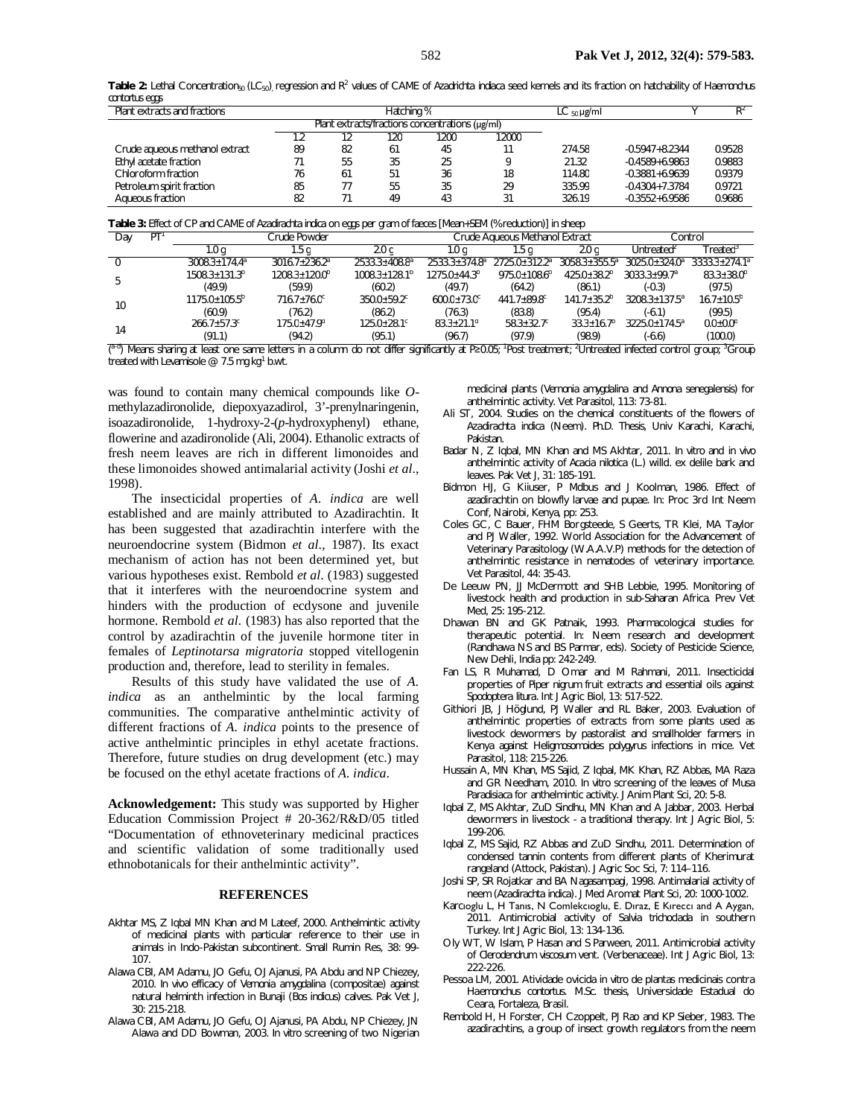Table 2: Lethal Concentration<sub>50</sub> (LC<sub>50</sub>)<sub>,</sub> regression and R<sup>2</sup> values of CAME of Azadrichta indiaca seed kernels and its fraction on hatchability of Haemonchus *contortus* eggs

| Plant extracts and fractions   | Hatching % |                                                      |     |      | $LC_{50}$ µg/ml |        | $R^2$              |        |
|--------------------------------|------------|------------------------------------------------------|-----|------|-----------------|--------|--------------------|--------|
|                                |            | Plant extracts/fractions concentrations $(\mu g/ml)$ |     |      |                 |        |                    |        |
|                                |            |                                                      | 120 | 1200 | 12000           |        |                    |        |
| Crude aqueous methanol extract | 89         | 82                                                   | 61  | 45   | 11              | 274.58 | $-0.5947 + 8.2344$ | 0.9528 |
| Ethyl acetate fraction         | 71         | 55                                                   | 35  | 25   |                 | 21.32  | $-0.4589 + 6.9863$ | 0.9883 |
| Chloroform fraction            | 76         | 61                                                   | 51  | 36   | 18              | 114.80 | $-0.3881 + 6.9639$ | 0.9379 |
| Petroleum spirit fraction      | 85         |                                                      | 55  | 35   | 29              | 335.99 | $-0.4304 + 7.3784$ | 0.9721 |
| Aqueous fraction               | 82         |                                                      | 49  | 43   | 31              | 326.19 | $-0.3552 + 6.9586$ | 0.9686 |

**Table 3:** Effect of CP and CAME of *Azadirachta indica* on eggs per gram of faeces [Mean+SEM (% reduction)] in sheep

| Day | PT     | $\cdot$<br>Crude Powder     |                          |                             | . .<br>Crude Agueous Methanol Extract |                             |                          | Control                  |                       |
|-----|--------|-----------------------------|--------------------------|-----------------------------|---------------------------------------|-----------------------------|--------------------------|--------------------------|-----------------------|
|     |        | 1.0 <sub>q</sub>            | . 5 q                    | 2.0 <sub>q</sub>            | 1.0 a                                 | 1.5 a                       | 2.0 <sub>q</sub>         | Untreated <sup>2</sup>   | $\mathsf{Freated}^3$  |
|     |        | $3008.3 + 174.4^a$          | $3016.7 + 236.2^a$       | $2533.3 + 408.8a$           | $2533.3 + 374.8^a$                    | 2725.0+312.2ª               | $3058.3 + 355.5^{\circ}$ | $3025.0 + 324.0^{\circ}$ | $3333.3 + 274.1^a$    |
|     |        | $1508.3 + 131.3b$           | $1208.3 + 120.0^{\circ}$ | $1008.3 + 128.1b$           | $1275.0 + 44.3^b$                     | $975.0 + 108.6^b$           | $425.0 + 38.2^b$         | $3033.3 + 99.7a$         | $83.3 + 38.0^b$       |
|     | (49.9) | (59.9)                      | (60.2)                   | (49.7)                      | (64.2)                                | (86.1)                      | (-0.3)                   | (97.5)                   |                       |
| 10  |        | $1175.0 + 105.5^b$          | $716.7 + 76.0^{\circ}$   | $350.0 + 59.2$ <sup>c</sup> | $600.0 + 73.0$ <sup>c</sup>           | $441.7 + 89.8$ <sup>c</sup> | $141.7 + 35.2b$          | $3208.3 + 137.5^a$       | $16.7 + 10.5^b$       |
|     | (60.9) | (76.2)                      | (86.2)                   | (76.3)                      | (83.8)                                | (95.4)                      | (-6.1)                   | (99.5)                   |                       |
| 14  |        | $266.7 + 57.3$ <sup>c</sup> | $175.0 + 47.9d$          | $125.0 + 28.1$ <sup>c</sup> | $83.3 + 21.1$ <sup>d</sup>            | $58.3 + 32.7^{\circ}$       | $33.3 + 16.7b$           | $3225.0 + 174.5^a$       | $0.0{\pm}0.0^{\rm b}$ |
|     |        | (91.1)                      | (94.2)                   | (95.1)                      | (96.7)                                | (97.9)                      | (98.9)                   | $(-6.6)$                 | (100.0)               |

<sup>a–o</sup>) Means sharing at least one same letters in a column do not differ significantly at P≥0.05; 'Post treatment; 'Untreated infected control group; 'Group treated with Levamisole @ 7.5 mg kg<sup>1</sup> b.wt.

was found to contain many chemical compounds like *O*methylazadironolide, diepoxyazadirol, 3'-prenylnaringenin, isoazadironolide, 1-hydroxy-2-(*p*-hydroxyphenyl) ethane, flowerine and azadironolide (Ali, 2004). Ethanolic extracts of fresh neem leaves are rich in different limonoides and these limonoides showed antimalarial activity (Joshi *et al*., 1998).

The insecticidal properties of *A. indica* are well established and are mainly attributed to Azadirachtin. It has been suggested that azadirachtin interfere with the neuroendocrine system (Bidmon *et al*., 1987). Its exact mechanism of action has not been determined yet, but various hypotheses exist. Rembold *et al*. (1983) suggested that it interferes with the neuroendocrine system and hinders with the production of ecdysone and juvenile hormone. Rembold *et al.* (1983) has also reported that the control by azadirachtin of the juvenile hormone titer in females of *Leptinotarsa migratoria* stopped vitellogenin production and, therefore, lead to sterility in females.

Results of this study have validated the use of *A. indica* as an anthelmintic by the local farming communities. The comparative anthelmintic activity of different fractions of *A. indica* points to the presence of active anthelmintic principles in ethyl acetate fractions. Therefore, future studies on drug development (etc.) may be focused on the ethyl acetate fractions of *A. indica*.

**Acknowledgement:** This study was supported by Higher Education Commission Project # 20-362/R&D/05 titled "Documentation of ethnoveterinary medicinal practices and scientific validation of some traditionally used ethnobotanicals for their anthelmintic activity".

#### **REFERENCES**

- Akhtar MS, Z Iqbal MN Khan and M Lateef, 2000. Anthelmintic activity of medicinal plants with particular reference to their use in animals in Indo-Pakistan subcontinent. Small Rumin Res, 38: 99- 107.
- Alawa CBI, AM Adamu, JO Gefu, OJ Ajanusi, PA Abdu and NP Chiezey, 2010. *In vivo* efficacy of *Vernonia amygdalina* (compositae) against natural helminth infection in Bunaji (*Bos indicus*) calves. Pak Vet J, 30: 215-218.
- Alawa CBI, AM Adamu, JO Gefu, OJ Ajanusi, PA Abdu, NP Chiezey, JN Alawa and DD Bowman, 2003. *In vitro* screening of two Nigerian

medicinal plants (*Vernonia amygdalina* and *Annona senegalensis*) for anthelmintic activity. Vet Parasitol, 113: 73-81.

- Ali ST, 2004. Studies on the chemical constituents of the flowers of *Azadirachta indica* (Neem). *Ph.D. Thesis,* Univ Karachi, Karachi, Pakistan.
- Badar N, Z Iqbal, MN Khan and MS Akhtar, 2011. *In vitro* and *in vivo*  anthelmintic activity of *Acacia nilotica* (L.) willd. ex delile bark and leaves. Pak Vet J, 31: 185-191.
- Bidmon HJ, G Kiiuser, P Mdbus and J Koolman, 1986. Effect of azadirachtin on blowfly larvae and pupae. In: Proc 3rd Int Neem Conf, Nairobi, Kenya, pp: 253.
- Coles GC, C Bauer, FHM Borgsteede, S Geerts, TR Klei, MA Taylor and PJ Waller, 1992. World Association for the Advancement of Veterinary Parasitology (W.A.A.V.P) methods for the detection of anthelmintic resistance in nematodes of veterinary importance. Vet Parasitol, 44: 35-43.
- De Leeuw PN, JJ McDermott and SHB Lebbie, 1995. Monitoring of livestock health and production in sub-Saharan Africa. Prev Vet Med, 25: 195-212.
- Dhawan BN and GK Patnaik, 1993. Pharmacological studies for therapeutic potential. *In*: Neem research and development (Randhawa NS and BS Parmar, eds). Society of Pesticide Science, New Dehli, India pp: 242-249.
- Fan LS, R Muhamad, D Omar and M Rahmani, 2011. Insecticidal properties of *Piper nigrum* fruit extracts and essential oils against *Spodoptera litura*. Int J Agric Biol, 13: 517-522.
- Githiori JB, J Höglund, PJ Waller and RL Baker, 2003. Evaluation of anthelmintic properties of extracts from some plants used as livestock dewormers by pastoralist and smallholder farmers in Kenya against *Heligmosomoides polygyrus* infections in mice. Vet Parasitol, 118: 215-226.
- Hussain A, MN Khan, MS Sajid, Z Iqbal, MK Khan, RZ Abbas, MA Raza and GR Needham, 2010. *In vitro* screening of the leaves of *Musa Paradisiaca* for anthelmintic activity. J Anim Plant Sci, 20: 5-8.
- Iqbal Z, MS Akhtar, ZuD Sindhu, MN Khan and A Jabbar, 2003. Herbal dewormers in livestock - a traditional therapy. Int J Agric Biol, 5: 199-206.
- Iqbal Z, MS Sajid, RZ Abbas and ZuD Sindhu, 2011. Determination of condensed tannin contents from different plants of Kherimurat rangeland (Attock, Pakistan). J Agric Soc Sci, 7: 114–116.
- Joshi SP, SR Rojatkar and BA Nagasampagi, 1998. Antimalarial activity of neem (*Azadirachta indica*). J Med Aromat Plant Sci, 20: 1000-1002.
- Karcıoglu L, H Tanıs, N Comlekcıoglu, E. Dıraz, E Kıreccı and A Aygan, 2011. Antimicrobial activity of *Salvia trichoclada* in southern Turkey*.* Int J Agric Biol, 13: 134-136.
- Oly WT, W Islam, P Hasan and S Parween, 2011. Antimicrobial activity of *Clerodendrum viscosum* vent. (Verbenaceae). Int J Agric Biol*,* 13: 222-226.
- Pessoa LM, 2001. Atividade ovicida *in vitro* de plantas medicinais contra *Haemonchus contortus*. *M.Sc. thesis*, Universidade Estadual do Ceara, Fortaleza, Brasil.
- Rembold H, H Forster, CH Czoppelt, PJ Rao and KP Sieber, 1983. The azadirachtins, a group of insect growth regulators from the neem